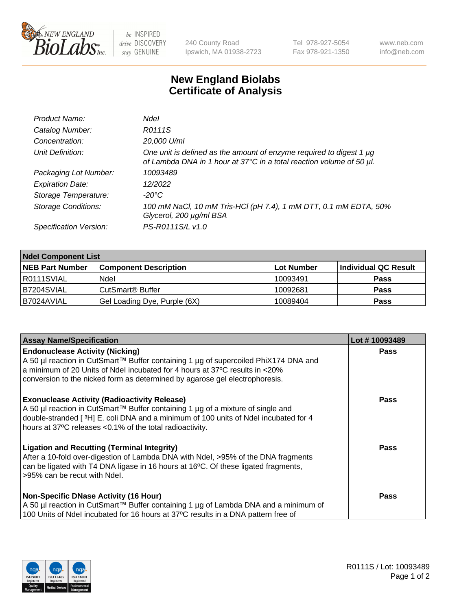

 $be$  INSPIRED drive DISCOVERY stay GENUINE

240 County Road Ipswich, MA 01938-2723 Tel 978-927-5054 Fax 978-921-1350 www.neb.com info@neb.com

## **New England Biolabs Certificate of Analysis**

| Product Name:              | Ndel                                                                                                                                             |
|----------------------------|--------------------------------------------------------------------------------------------------------------------------------------------------|
| Catalog Number:            | R0111S                                                                                                                                           |
| Concentration:             | 20,000 U/ml                                                                                                                                      |
| Unit Definition:           | One unit is defined as the amount of enzyme required to digest 1 $\mu$ g<br>of Lambda DNA in 1 hour at 37°C in a total reaction volume of 50 µl. |
| Packaging Lot Number:      | 10093489                                                                                                                                         |
| <b>Expiration Date:</b>    | 12/2022                                                                                                                                          |
| Storage Temperature:       | $-20^{\circ}$ C                                                                                                                                  |
| <b>Storage Conditions:</b> | 100 mM NaCl, 10 mM Tris-HCl (pH 7.4), 1 mM DTT, 0.1 mM EDTA, 50%<br>Glycerol, 200 µg/ml BSA                                                      |
| Specification Version:     | PS-R0111S/L v1.0                                                                                                                                 |

| <b>Ndel Component List</b> |                              |            |                      |  |  |
|----------------------------|------------------------------|------------|----------------------|--|--|
| <b>NEB Part Number</b>     | <b>Component Description</b> | Lot Number | Individual QC Result |  |  |
| R0111SVIAL                 | Ndel                         | 10093491   | <b>Pass</b>          |  |  |
| B7204SVIAL                 | CutSmart <sup>®</sup> Buffer | 10092681   | <b>Pass</b>          |  |  |
| B7024AVIAL                 | Gel Loading Dye, Purple (6X) | 10089404   | <b>Pass</b>          |  |  |

| <b>Assay Name/Specification</b>                                                                                                                                                                                                                                                             | Lot #10093489 |
|---------------------------------------------------------------------------------------------------------------------------------------------------------------------------------------------------------------------------------------------------------------------------------------------|---------------|
| <b>Endonuclease Activity (Nicking)</b><br>A 50 µl reaction in CutSmart™ Buffer containing 1 µg of supercoiled PhiX174 DNA and                                                                                                                                                               | <b>Pass</b>   |
| a minimum of 20 Units of Ndel incubated for 4 hours at 37°C results in <20%<br>conversion to the nicked form as determined by agarose gel electrophoresis.                                                                                                                                  |               |
| <b>Exonuclease Activity (Radioactivity Release)</b><br>  A 50 µl reaction in CutSmart™ Buffer containing 1 µg of a mixture of single and<br>double-stranded [3H] E. coli DNA and a minimum of 100 units of Ndel incubated for 4<br>hours at 37°C releases <0.1% of the total radioactivity. | <b>Pass</b>   |
| <b>Ligation and Recutting (Terminal Integrity)</b><br>After a 10-fold over-digestion of Lambda DNA with Ndel, >95% of the DNA fragments<br>can be ligated with T4 DNA ligase in 16 hours at 16 $\degree$ C. Of these ligated fragments,<br>l >95% can be recut with Ndel.                   | Pass          |
| Non-Specific DNase Activity (16 Hour)<br>A 50 µl reaction in CutSmart™ Buffer containing 1 µg of Lambda DNA and a minimum of<br>100 Units of Ndel incubated for 16 hours at 37°C results in a DNA pattern free of                                                                           | Pass          |